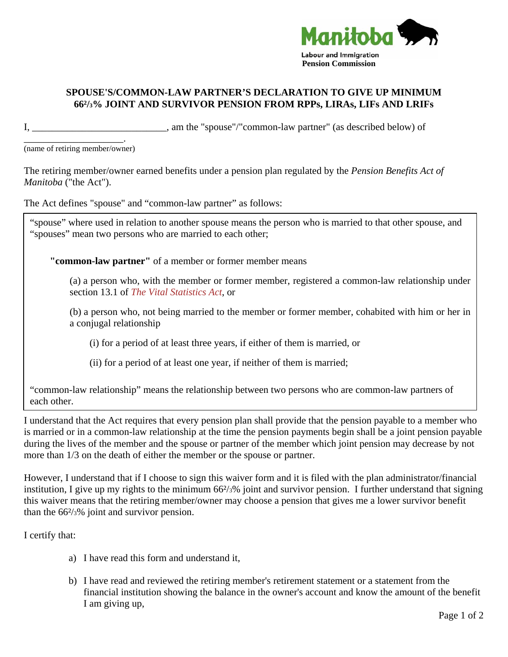

## **SPOUSE'S/COMMON-LAW PARTNER'S DECLARATION TO GIVE UP MINIMUM 66²/3% JOINT AND SURVIVOR PENSION FROM RPPs, LIRAs, LIFs AND LRIFs**

I, \_\_\_\_\_\_\_\_\_\_\_\_\_\_\_\_\_\_\_\_\_\_\_\_\_\_, am the "spouse"/"common-law partner" (as described below) of

\_\_\_\_\_\_\_\_\_\_\_\_\_\_\_\_\_\_\_\_. (name of retiring member/owner)

The retiring member/owner earned benefits under a pension plan regulated by the *Pension Benefits Act of Manitoba* ("the Act").

The Act defines "spouse" and "common-law partner" as follows:

"spouse" where used in relation to another spouse means the person who is married to that other spouse, and "spouses" mean two persons who are married to each other;

**"common-law partner"** of a member or former member means

(a) a person who, with the member or former member, registered a common-law relationship under section 13.1 of *The Vital Statistics Act*, or

(b) a person who, not being married to the member or former member, cohabited with him or her in a conjugal relationship

(i) for a period of at least three years, if either of them is married, or

(ii) for a period of at least one year, if neither of them is married;

"common-law relationship" means the relationship between two persons who are common-law partners of each other.

I understand that the Act requires that every pension plan shall provide that the pension payable to a member who is married or in a common-law relationship at the time the pension payments begin shall be a joint pension payable during the lives of the member and the spouse or partner of the member which joint pension may decrease by not more than 1/3 on the death of either the member or the spouse or partner.

However, I understand that if I choose to sign this waiver form and it is filed with the plan administrator/financial institution, I give up my rights to the minimum 66²/3% joint and survivor pension. I further understand that signing this waiver means that the retiring member/owner may choose a pension that gives me a lower survivor benefit than the  $66\frac{2}{3}\%$  joint and survivor pension.

I certify that:

- a) I have read this form and understand it,
- b) I have read and reviewed the retiring member's retirement statement or a statement from the financial institution showing the balance in the owner's account and know the amount of the benefit I am giving up,